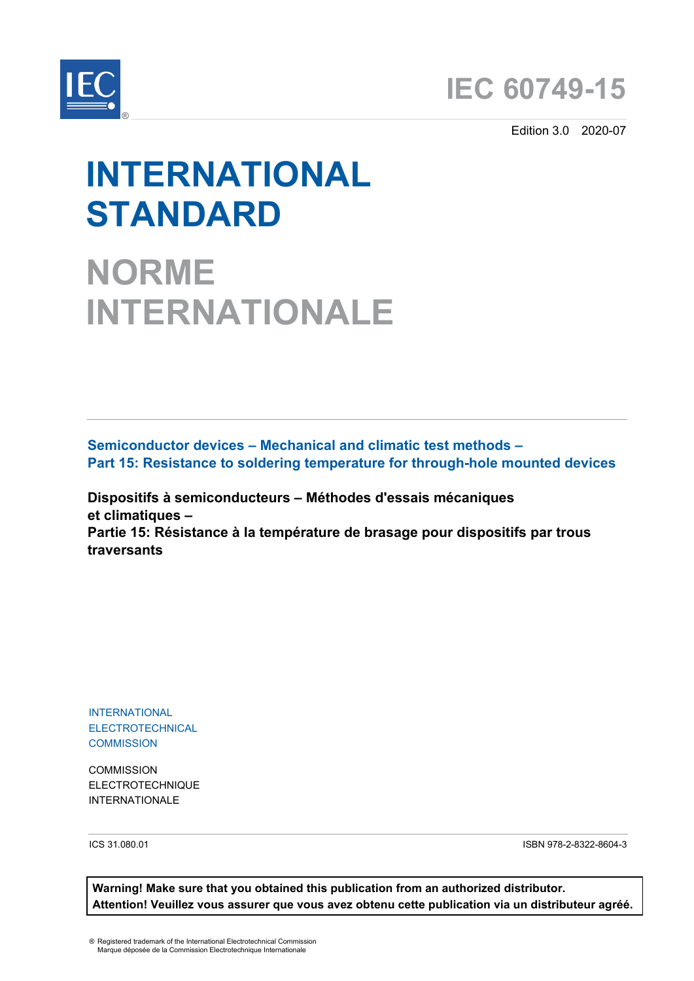

Edition 3.0 2020-07

# **INTERNATIONAL STANDARD**

# **NORME INTERNATIONALE**

**Semiconductor devices – Mechanical and climatic test methods – Part 15: Resistance to soldering temperature for through-hole mounted devices** 

**Dispositifs à semiconducteurs – Méthodes d'essais mécaniques et climatiques – Partie 15: Résistance à la température de brasage pour dispositifs par trous traversants**

INTERNATIONAL ELECTROTECHNICAL **COMMISSION** 

**COMMISSION** ELECTROTECHNIQUE INTERNATIONALE

ICS 31.080.01 ISBN 978-2-8322-8604-3

**Warning! Make sure that you obtained this publication from an authorized distributor. Attention! Veuillez vous assurer que vous avez obtenu cette publication via un distributeur agréé.**

® Registered trademark of the International Electrotechnical Commission Marque déposée de la Commission Electrotechnique Internationale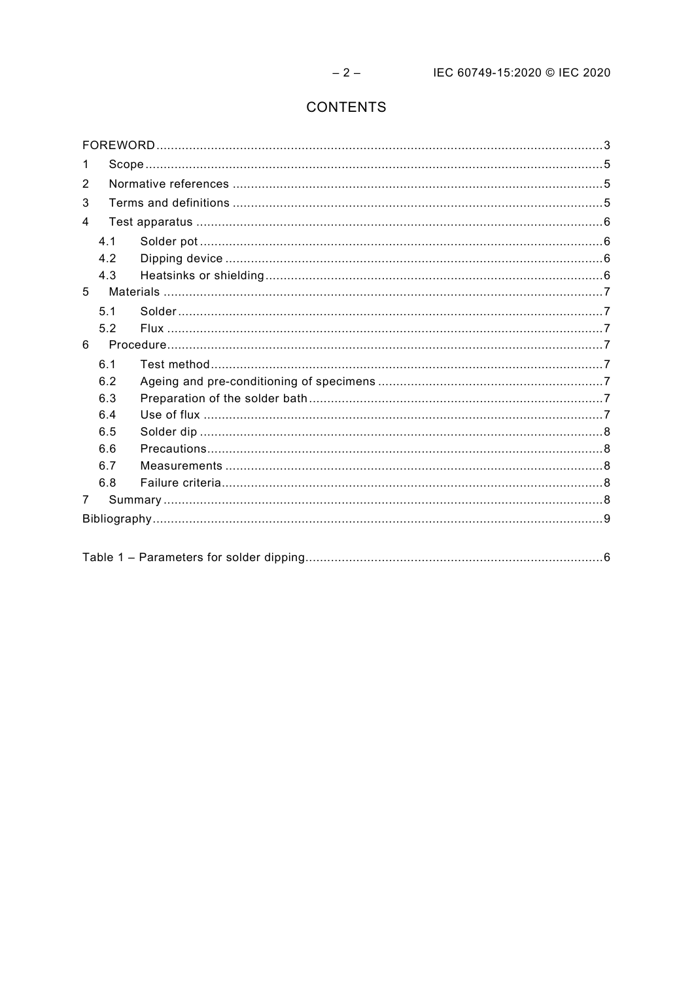# **CONTENTS**

| 1              |     |  |  |  |  |  |
|----------------|-----|--|--|--|--|--|
| 2              |     |  |  |  |  |  |
| 3              |     |  |  |  |  |  |
| 4              |     |  |  |  |  |  |
|                | 4.1 |  |  |  |  |  |
|                | 4.2 |  |  |  |  |  |
|                | 4.3 |  |  |  |  |  |
| 5              |     |  |  |  |  |  |
|                | 5.1 |  |  |  |  |  |
|                | 5.2 |  |  |  |  |  |
| 6              |     |  |  |  |  |  |
|                | 6.1 |  |  |  |  |  |
|                | 6.2 |  |  |  |  |  |
|                | 6.3 |  |  |  |  |  |
|                | 6.4 |  |  |  |  |  |
|                | 6.5 |  |  |  |  |  |
|                | 6.6 |  |  |  |  |  |
|                | 6.7 |  |  |  |  |  |
|                | 6.8 |  |  |  |  |  |
| $\overline{7}$ |     |  |  |  |  |  |
|                |     |  |  |  |  |  |
|                |     |  |  |  |  |  |
|                |     |  |  |  |  |  |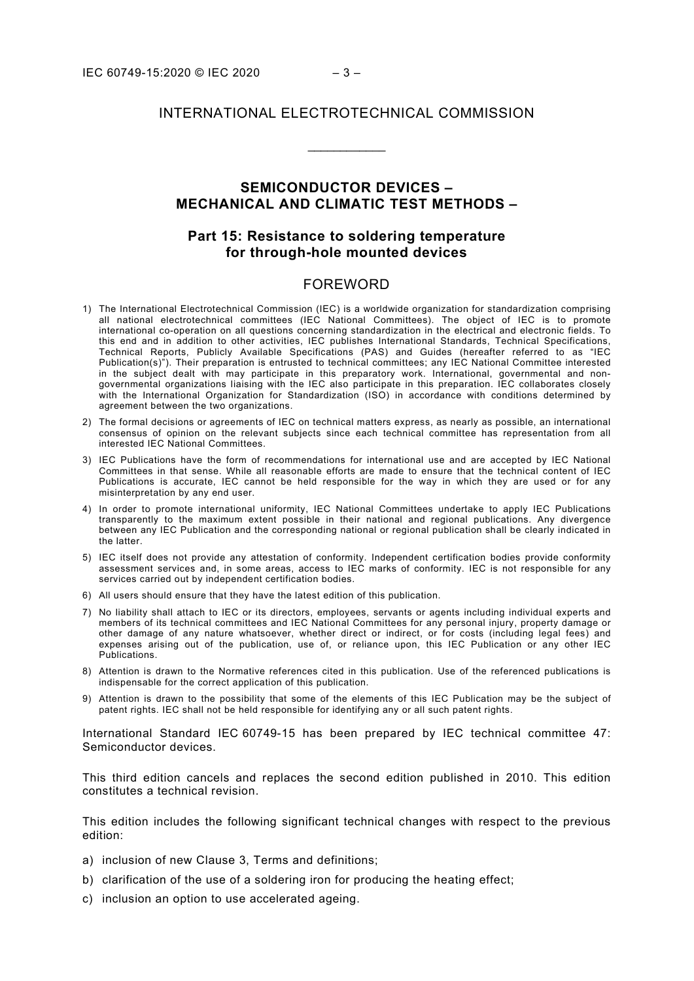# INTERNATIONAL ELECTROTECHNICAL COMMISSION

\_\_\_\_\_\_\_\_\_\_\_\_

# **SEMICONDUCTOR DEVICES – MECHANICAL AND CLIMATIC TEST METHODS –**

## **Part 15: Resistance to soldering temperature for through-hole mounted devices**

#### FOREWORD

- <span id="page-2-0"></span>1) The International Electrotechnical Commission (IEC) is a worldwide organization for standardization comprising all national electrotechnical committees (IEC National Committees). The object of IEC is to promote international co-operation on all questions concerning standardization in the electrical and electronic fields. To this end and in addition to other activities, IEC publishes International Standards, Technical Specifications, Technical Reports, Publicly Available Specifications (PAS) and Guides (hereafter referred to as "IEC Publication(s)"). Their preparation is entrusted to technical committees; any IEC National Committee interested in the subject dealt with may participate in this preparatory work. International, governmental and nongovernmental organizations liaising with the IEC also participate in this preparation. IEC collaborates closely with the International Organization for Standardization (ISO) in accordance with conditions determined by agreement between the two organizations.
- 2) The formal decisions or agreements of IEC on technical matters express, as nearly as possible, an international consensus of opinion on the relevant subjects since each technical committee has representation from all interested IEC National Committees.
- 3) IEC Publications have the form of recommendations for international use and are accepted by IEC National Committees in that sense. While all reasonable efforts are made to ensure that the technical content of IEC Publications is accurate, IEC cannot be held responsible for the way in which they are used or for any misinterpretation by any end user.
- 4) In order to promote international uniformity, IEC National Committees undertake to apply IEC Publications transparently to the maximum extent possible in their national and regional publications. Any divergence between any IEC Publication and the corresponding national or regional publication shall be clearly indicated in the latter.
- 5) IEC itself does not provide any attestation of conformity. Independent certification bodies provide conformity assessment services and, in some areas, access to IEC marks of conformity. IEC is not responsible for any services carried out by independent certification bodies.
- 6) All users should ensure that they have the latest edition of this publication.
- 7) No liability shall attach to IEC or its directors, employees, servants or agents including individual experts and members of its technical committees and IEC National Committees for any personal injury, property damage or other damage of any nature whatsoever, whether direct or indirect, or for costs (including legal fees) and expenses arising out of the publication, use of, or reliance upon, this IEC Publication or any other IEC Publications.
- 8) Attention is drawn to the Normative references cited in this publication. Use of the referenced publications is indispensable for the correct application of this publication.
- 9) Attention is drawn to the possibility that some of the elements of this IEC Publication may be the subject of patent rights. IEC shall not be held responsible for identifying any or all such patent rights.

International Standard IEC 60749-15 has been prepared by IEC technical committee 47: Semiconductor devices.

This third edition cancels and replaces the second edition published in 2010. This edition constitutes a technical revision.

This edition includes the following significant technical changes with respect to the previous edition:

- a) inclusion of new Clause 3, Terms and definitions;
- b) clarification of the use of a soldering iron for producing the heating effect;
- c) inclusion an option to use accelerated ageing.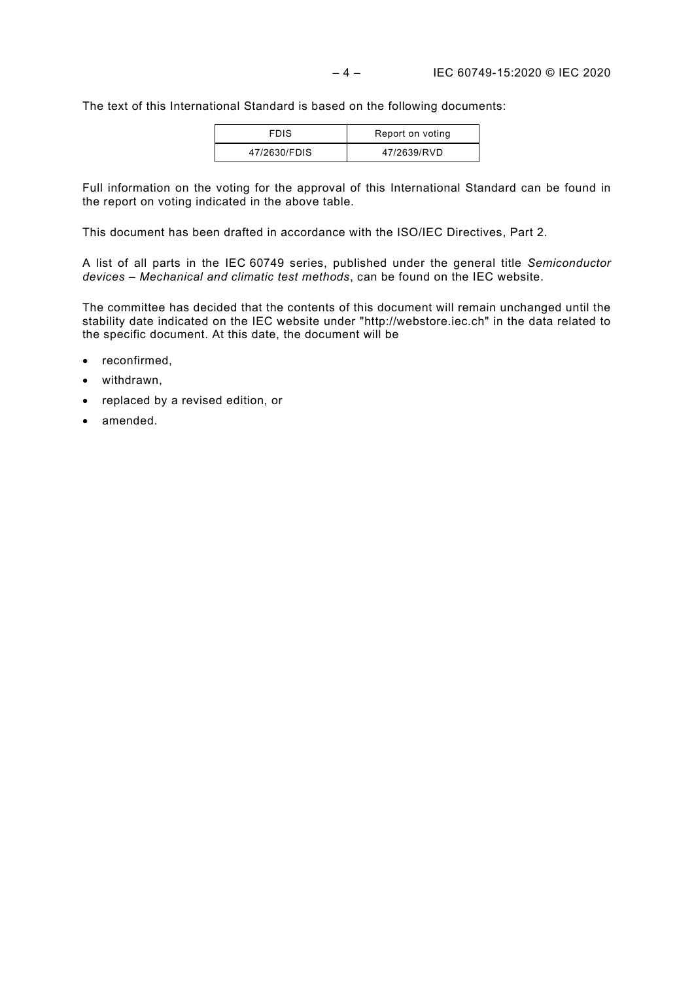The text of this International Standard is based on the following documents:

| <b>FDIS</b>  | Report on voting |
|--------------|------------------|
| 47/2630/FDIS | 47/2639/RVD      |

Full information on the voting for the approval of this International Standard can be found in the report on voting indicated in the above table.

This document has been drafted in accordance with the ISO/IEC Directives, Part 2.

A list of all parts in the IEC 60749 series, published under the general title *Semiconductor devices – Mechanical and climatic test methods*, can be found on the IEC website.

The committee has decided that the contents of this document will remain unchanged until the stability date indicated on the IEC website under "http://webstore.iec.ch" in the data related to the specific document. At this date, the document will be

- reconfirmed,
- withdrawn,
- replaced by a revised edition, or
- amended.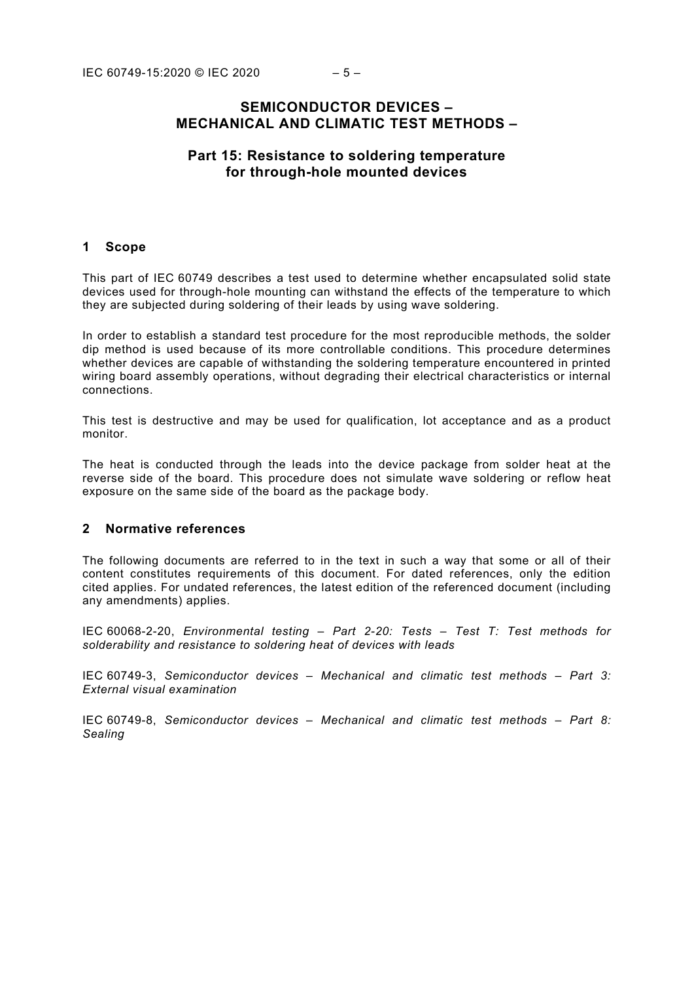# **SEMICONDUCTOR DEVICES – MECHANICAL AND CLIMATIC TEST METHODS –**

# **Part 15: Resistance to soldering temperature for through-hole mounted devices**

#### <span id="page-4-0"></span>**1 Scope**

This part of IEC 60749 describes a test used to determine whether encapsulated solid state devices used for through-hole mounting can withstand the effects of the temperature to which they are subjected during soldering of their leads by using wave soldering.

In order to establish a standard test procedure for the most reproducible methods, the solder dip method is used because of its more controllable conditions. This procedure determines whether devices are capable of withstanding the soldering temperature encountered in printed wiring board assembly operations, without degrading their electrical characteristics or internal connections.

This test is destructive and may be used for qualification, lot acceptance and as a product monitor.

The heat is conducted through the leads into the device package from solder heat at the reverse side of the board. This procedure does not simulate wave soldering or reflow heat exposure on the same side of the board as the package body.

#### <span id="page-4-1"></span>**2 Normative references**

The following documents are referred to in the text in such a way that some or all of their content constitutes requirements of this document. For dated references, only the edition cited applies. For undated references, the latest edition of the referenced document (including any amendments) applies.

IEC 60068-2-20, *Environmental testing – Part 2-20: Tests – Test T: Test methods for solderability and resistance to soldering heat of devices with leads*

IEC 60749-3, *Semiconductor devices – Mechanical and climatic test methods – Part 3: External visual examination*

<span id="page-4-2"></span>IEC 60749-8, *Semiconductor devices – Mechanical and climatic test methods – Part 8: Sealing*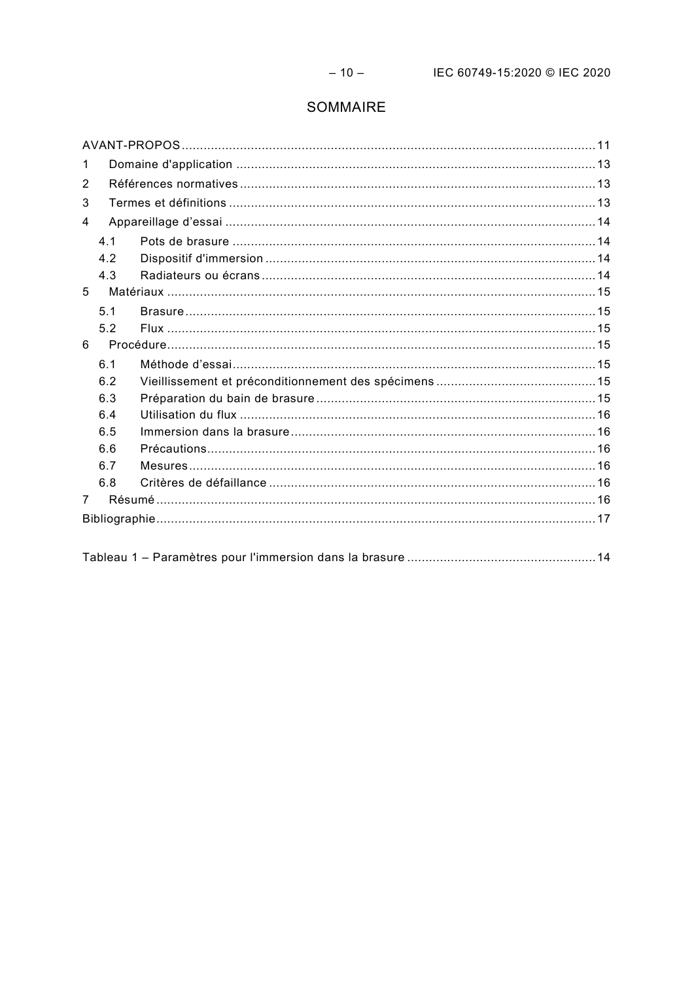# SOMMAIRE

| 1              |                |  |  |  |  |  |
|----------------|----------------|--|--|--|--|--|
| 2              |                |  |  |  |  |  |
| 3              |                |  |  |  |  |  |
| 4              |                |  |  |  |  |  |
|                | 4 <sub>1</sub> |  |  |  |  |  |
|                | 4.2            |  |  |  |  |  |
|                | 4.3            |  |  |  |  |  |
| 5              |                |  |  |  |  |  |
|                | 5 <sub>1</sub> |  |  |  |  |  |
|                | 5.2            |  |  |  |  |  |
| 6              |                |  |  |  |  |  |
|                | 6.1            |  |  |  |  |  |
|                | 6.2            |  |  |  |  |  |
|                | 6.3            |  |  |  |  |  |
|                | 6.4            |  |  |  |  |  |
|                | 6.5            |  |  |  |  |  |
|                | 6.6            |  |  |  |  |  |
|                | 6.7            |  |  |  |  |  |
|                | 6.8            |  |  |  |  |  |
| $\overline{7}$ |                |  |  |  |  |  |
|                |                |  |  |  |  |  |
|                |                |  |  |  |  |  |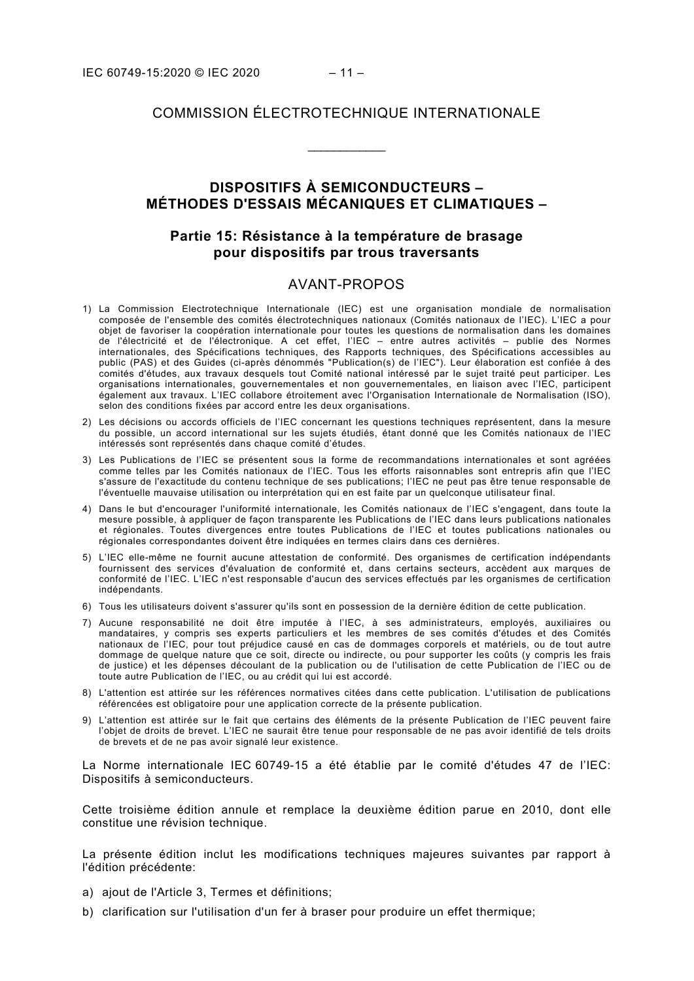# COMMISSION ÉLECTROTECHNIQUE INTERNATIONALE

\_\_\_\_\_\_\_\_\_\_\_\_

# **DISPOSITIFS À SEMICONDUCTEURS – MÉTHODES D'ESSAIS MÉCANIQUES ET CLIMATIQUES –**

# **Partie 15: Résistance à la température de brasage pour dispositifs par trous traversants**

#### AVANT-PROPOS

- <span id="page-6-0"></span>1) La Commission Electrotechnique Internationale (IEC) est une organisation mondiale de normalisation composée de l'ensemble des comités électrotechniques nationaux (Comités nationaux de l'IEC). L'IEC a pour objet de favoriser la coopération internationale pour toutes les questions de normalisation dans les domaines de l'électricité et de l'électronique. A cet effet, l'IEC – entre autres activités – publie des Normes internationales, des Spécifications techniques, des Rapports techniques, des Spécifications accessibles au public (PAS) et des Guides (ci-après dénommés "Publication(s) de l'IEC"). Leur élaboration est confiée à des comités d'études, aux travaux desquels tout Comité national intéressé par le sujet traité peut participer. Les organisations internationales, gouvernementales et non gouvernementales, en liaison avec l'IEC, participent également aux travaux. L'IEC collabore étroitement avec l'Organisation Internationale de Normalisation (ISO), selon des conditions fixées par accord entre les deux organisations.
- 2) Les décisions ou accords officiels de l'IEC concernant les questions techniques représentent, dans la mesure du possible, un accord international sur les sujets étudiés, étant donné que les Comités nationaux de l'IEC intéressés sont représentés dans chaque comité d'études.
- 3) Les Publications de l'IEC se présentent sous la forme de recommandations internationales et sont agréées comme telles par les Comités nationaux de l'IEC. Tous les efforts raisonnables sont entrepris afin que l'IEC s'assure de l'exactitude du contenu technique de ses publications; l'IEC ne peut pas être tenue responsable de l'éventuelle mauvaise utilisation ou interprétation qui en est faite par un quelconque utilisateur final.
- 4) Dans le but d'encourager l'uniformité internationale, les Comités nationaux de l'IEC s'engagent, dans toute la mesure possible, à appliquer de façon transparente les Publications de l'IEC dans leurs publications nationales et régionales. Toutes divergences entre toutes Publications de l'IEC et toutes publications nationales ou régionales correspondantes doivent être indiquées en termes clairs dans ces dernières.
- 5) L'IEC elle-même ne fournit aucune attestation de conformité. Des organismes de certification indépendants fournissent des services d'évaluation de conformité et, dans certains secteurs, accèdent aux marques de conformité de l'IEC. L'IEC n'est responsable d'aucun des services effectués par les organismes de certification indépendants.
- 6) Tous les utilisateurs doivent s'assurer qu'ils sont en possession de la dernière édition de cette publication.
- 7) Aucune responsabilité ne doit être imputée à l'IEC, à ses administrateurs, employés, auxiliaires ou mandataires, y compris ses experts particuliers et les membres de ses comités d'études et des Comités nationaux de l'IEC, pour tout préjudice causé en cas de dommages corporels et matériels, ou de tout autre dommage de quelque nature que ce soit, directe ou indirecte, ou pour supporter les coûts (y compris les frais de justice) et les dépenses découlant de la publication ou de l'utilisation de cette Publication de l'IEC ou de toute autre Publication de l'IEC, ou au crédit qui lui est accordé.
- 8) L'attention est attirée sur les références normatives citées dans cette publication. L'utilisation de publications référencées est obligatoire pour une application correcte de la présente publication.
- 9) L'attention est attirée sur le fait que certains des éléments de la présente Publication de l'IEC peuvent faire l'objet de droits de brevet. L'IEC ne saurait être tenue pour responsable de ne pas avoir identifié de tels droits de brevets et de ne pas avoir signalé leur existence.

La Norme internationale IEC 60749-15 a été établie par le comité d'études 47 de l'IEC: Dispositifs à semiconducteurs.

Cette troisième édition annule et remplace la deuxième édition parue en 2010, dont elle constitue une révision technique.

La présente édition inclut les modifications techniques majeures suivantes par rapport à l'édition précédente:

- a) ajout de l'Article 3, Termes et définitions;
- b) clarification sur l'utilisation d'un fer à braser pour produire un effet thermique;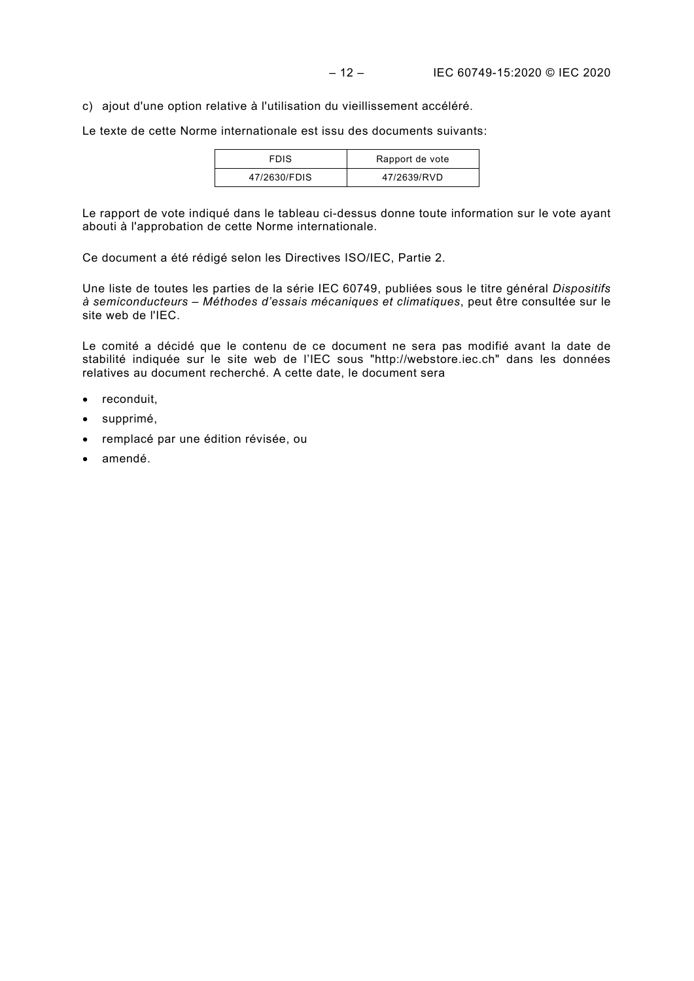c) ajout d'une option relative à l'utilisation du vieillissement accéléré.

Le texte de cette Norme internationale est issu des documents suivants:

| <b>FDIS</b>  | Rapport de vote |
|--------------|-----------------|
| 47/2630/FDIS | 47/2639/RVD     |

Le rapport de vote indiqué dans le tableau ci-dessus donne toute information sur le vote ayant abouti à l'approbation de cette Norme internationale.

Ce document a été rédigé selon les Directives ISO/IEC, Partie 2.

Une liste de toutes les parties de la série IEC 60749, publiées sous le titre général *Dispositifs à semiconducteurs – Méthodes d'essais mécaniques et climatiques*, peut être consultée sur le site web de l'IEC.

Le comité a décidé que le contenu de ce document ne sera pas modifié avant la date de stabilité indiquée sur le site web de l'IEC sous "http://webstore.iec.ch" dans les données relatives au document recherché. A cette date, le document sera

- reconduit,
- supprimé,
- remplacé par une édition révisée, ou
- amendé.